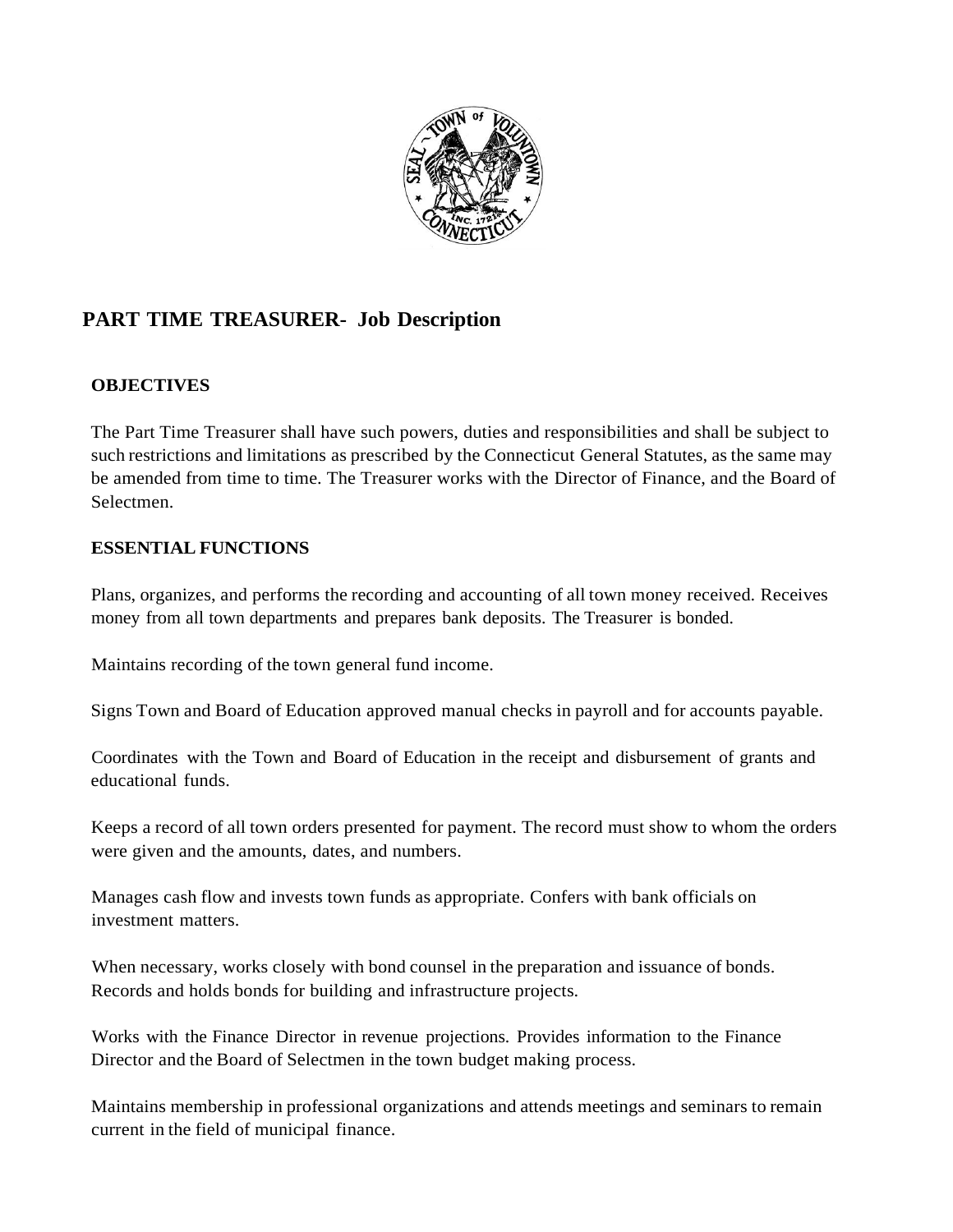

## **PART TIME TREASURER- Job Description**

## **OBJECTIVES**

The Part Time Treasurer shall have such powers, duties and responsibilities and shall be subject to such restrictions and limitations as prescribed by the Connecticut General Statutes, as the same may be amended from time to time. The Treasurer works with the Director of Finance, and the Board of Selectmen.

## **ESSENTIAL FUNCTIONS**

Plans, organizes, and performs the recording and accounting of all town money received. Receives money from all town departments and prepares bank deposits. The Treasurer is bonded.

Maintains recording of the town general fund income.

Signs Town and Board of Education approved manual checks in payroll and for accounts payable.

Coordinates with the Town and Board of Education in the receipt and disbursement of grants and educational funds.

Keeps a record of all town orders presented for payment. The record must show to whom the orders were given and the amounts, dates, and numbers.

Manages cash flow and invests town funds as appropriate. Confers with bank officials on investment matters.

When necessary, works closely with bond counsel in the preparation and issuance of bonds. Records and holds bonds for building and infrastructure projects.

Works with the Finance Director in revenue projections. Provides information to the Finance Director and the Board of Selectmen in the town budget making process.

Maintains membership in professional organizations and attends meetings and seminars to remain current in the field of municipal finance.